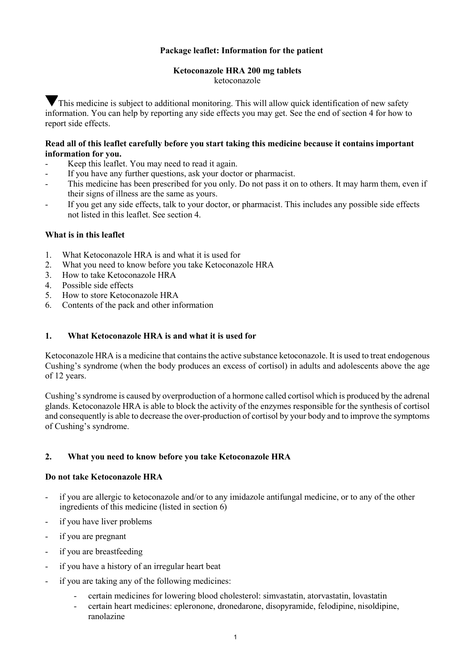# **Package leaflet: Information for the patient**

# **Ketoconazole HRA 200 mg tablets**

ketoconazole

This medicine is subject to additional monitoring. This will allow quick identification of new safety information. You can help by reporting any side effects you may get. See the end of section 4 for how to report side effects.

# **Read all of this leaflet carefully before you start taking this medicine because it contains important information for you.**

- Keep this leaflet. You may need to read it again.
- If you have any further questions, ask your doctor or pharmacist.
- This medicine has been prescribed for you only. Do not pass it on to others. It may harm them, even if their signs of illness are the same as yours.
- If you get any side effects, talk to your doctor, or pharmacist. This includes any possible side effects not listed in this leaflet. See section 4.

# **What is in this leaflet**

- 1. What Ketoconazole HRA is and what it is used for
- 2. What you need to know before you take Ketoconazole HRA
- 3. How to take Ketoconazole HRA<br>4. Possible side effects
- Possible side effects
- 5. How to store Ketoconazole HRA
- 6. Contents of the pack and other information

### **1. What Ketoconazole HRA is and what it is used for**

Ketoconazole HRA is a medicine that contains the active substance ketoconazole. It is used to treat endogenous Cushing's syndrome (when the body produces an excess of cortisol) in adults and adolescents above the age of 12 years.

Cushing's syndrome is caused by overproduction of a hormone called cortisol which is produced by the adrenal glands. Ketoconazole HRA is able to block the activity of the enzymes responsible for the synthesis of cortisol and consequently is able to decrease the over-production of cortisol by your body and to improve the symptoms of Cushing's syndrome.

# **2. What you need to know before you take Ketoconazole HRA**

### **Do not take Ketoconazole HRA**

- if you are allergic to ketoconazole and/or to any imidazole antifungal medicine, or to any of the other ingredients of this medicine (listed in section 6)
- if you have liver problems
- if you are pregnant
- if you are breastfeeding
- if you have a history of an irregular heart beat
- if you are taking any of the following medicines:
	- certain medicines for lowering blood cholesterol: simvastatin, atorvastatin, lovastatin
	- certain heart medicines: epleronone, dronedarone, disopyramide, felodipine, nisoldipine, ranolazine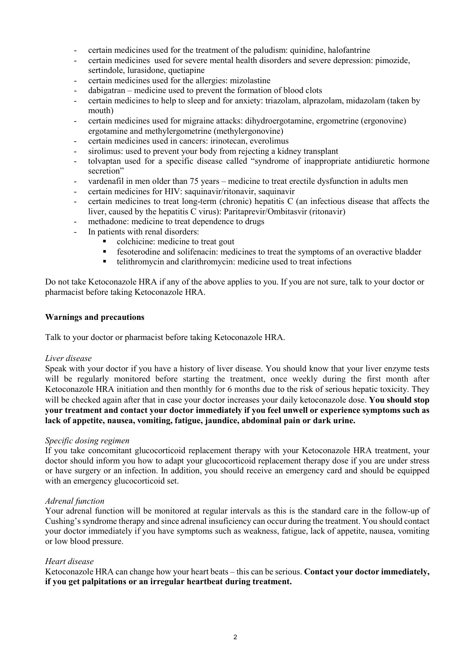- certain medicines used for the treatment of the paludism: quinidine, halofantrine
- certain medicines used for severe mental health disorders and severe depression: pimozide, sertindole, lurasidone, quetiapine
- certain medicines used for the allergies: mizolastine
- dabigatran medicine used to prevent the formation of blood clots
- certain medicines to help to sleep and for anxiety: triazolam, alprazolam, midazolam (taken by mouth)
- certain medicines used for migraine attacks: dihydroergotamine, ergometrine (ergonovine) ergotamine and methylergometrine (methylergonovine)
- certain medicines used in cancers: irinotecan, everolimus
- sirolimus: used to prevent your body from rejecting a kidney transplant
- tolvaptan used for a specific disease called "syndrome of inappropriate antidiuretic hormone secretion"
- vardenafil in men older than 75 years medicine to treat erectile dysfunction in adults men
- certain medicines for HIV: saquinavir/ritonavir, saquinavir
- certain medicines to treat long-term (chronic) hepatitis C (an infectious disease that affects the liver, caused by the hepatitis C virus): Paritaprevir/Ombitasvir (ritonavir)
	- methadone: medicine to treat dependence to drugs
- In patients with renal disorders:
	- colchicine: medicine to treat gout
	- fesoterodine and solifenacin: medicines to treat the symptoms of an overactive bladder
	- telithromycin and clarithromycin: medicine used to treat infections

Do not take Ketoconazole HRA if any of the above applies to you. If you are not sure, talk to your doctor or pharmacist before taking Ketoconazole HRA.

### **Warnings and precautions**

Talk to your doctor or pharmacist before taking Ketoconazole HRA.

### *Liver disease*

Speak with your doctor if you have a history of liver disease. You should know that your liver enzyme tests will be regularly monitored before starting the treatment, once weekly during the first month after Ketoconazole HRA initiation and then monthly for 6 months due to the risk of serious hepatic toxicity. They will be checked again after that in case your doctor increases your daily ketoconazole dose. **You should stop your treatment and contact your doctor immediately if you feel unwell or experience symptoms such as lack of appetite, nausea, vomiting, fatigue, jaundice, abdominal pain or dark urine.** 

#### *Specific dosing regimen*

If you take concomitant glucocorticoid replacement therapy with your Ketoconazole HRA treatment, your doctor should inform you how to adapt your glucocorticoid replacement therapy dose if you are under stress or have surgery or an infection. In addition, you should receive an emergency card and should be equipped with an emergency glucocorticoid set.

### *Adrenal function*

Your adrenal function will be monitored at regular intervals as this is the standard care in the follow-up of Cushing's syndrome therapy and since adrenal insuficiency can occur during the treatment. You should contact your doctor immediately if you have symptoms such as weakness, fatigue, lack of appetite, nausea, vomiting or low blood pressure.

### *Heart disease*

Ketoconazole HRA can change how your heart beats – this can be serious. **Contact your doctor immediately, if you get palpitations or an irregular heartbeat during treatment.**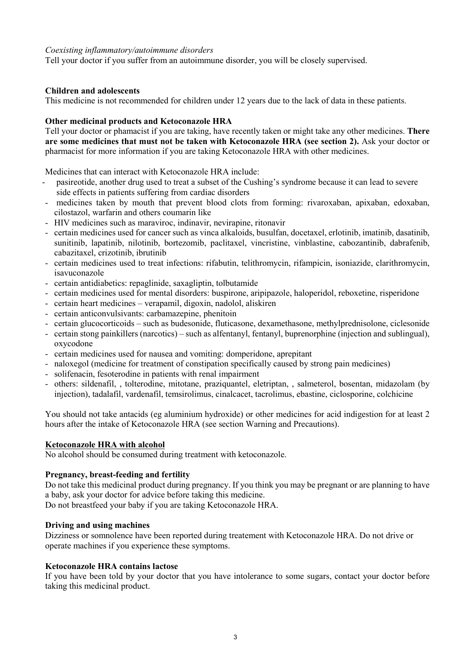### *Coexisting inflammatory/autoimmune disorders*

Tell your doctor if you suffer from an autoimmune disorder, you will be closely supervised.

# **Children and adolescents**

This medicine is not recommended for children under 12 years due to the lack of data in these patients.

### **Other medicinal products and Ketoconazole HRA**

Tell your doctor or phamacist if you are taking, have recently taken or might take any other medicines. **There are some medicines that must not be taken with Ketoconazole HRA (see section 2).** Ask your doctor or pharmacist for more information if you are taking Ketoconazole HRA with other medicines.

Medicines that can interact with Ketoconazole HRA include:

- pasireotide, another drug used to treat a subset of the Cushing's syndrome because it can lead to severe side effects in patients suffering from cardiac disorders
- medicines taken by mouth that prevent blood clots from forming: rivaroxaban, apixaban, edoxaban, cilostazol, warfarin and others coumarin like
- HIV medicines such as maraviroc, indinavir, nevirapine, ritonavir
- certain medicines used for cancer such as vinca alkaloids, busulfan, docetaxel, erlotinib, imatinib, dasatinib, sunitinib, lapatinib, nilotinib, bortezomib, paclitaxel, vincristine, vinblastine, cabozantinib, dabrafenib, cabazitaxel, crizotinib, ibrutinib
- certain medicines used to treat infections: rifabutin, telithromycin, rifampicin, isoniazide, clarithromycin, isavuconazole
- certain antidiabetics: repaglinide, saxagliptin, tolbutamide
- certain medicines used for mental disorders: buspirone, aripipazole, haloperidol, reboxetine, risperidone
- certain heart medicines verapamil, digoxin, nadolol, aliskiren
- certain anticonvulsivants: carbamazepine, phenitoin
- certain glucocorticoids such as budesonide, fluticasone, dexamethasone, methylprednisolone, ciclesonide
- certain stong painkillers (narcotics) such as alfentanyl, fentanyl, buprenorphine (injection and sublingual), oxycodone
- certain medicines used for nausea and vomiting: domperidone, aprepitant
- naloxegol (medicine for treatment of constipation specifically caused by strong pain medicines)
- solifenacin, fesoterodine in patients with renal impairment
- others: sildenafil, , tolterodine, mitotane, praziquantel, eletriptan, , salmeterol, bosentan, midazolam (by injection), tadalafil, vardenafil, temsirolimus, cinalcacet, tacrolimus, ebastine, ciclosporine, colchicine

You should not take antacids (eg aluminium hydroxide) or other medicines for acid indigestion for at least 2 hours after the intake of Ketoconazole HRA (see section Warning and Precautions).

### **Ketoconazole HRA with alcohol**

No alcohol should be consumed during treatment with ketoconazole.

# **Pregnancy, breast-feeding and fertility**

Do not take this medicinal product during pregnancy. If you think you may be pregnant or are planning to have a baby, ask your doctor for advice before taking this medicine.

Do not breastfeed your baby if you are taking Ketoconazole HRA.

### **Driving and using machines**

Dizziness or somnolence have been reported during treatement with Ketoconazole HRA. Do not drive or operate machines if you experience these symptoms.

### **Ketoconazole HRA contains lactose**

If you have been told by your doctor that you have intolerance to some sugars, contact your doctor before taking this medicinal product.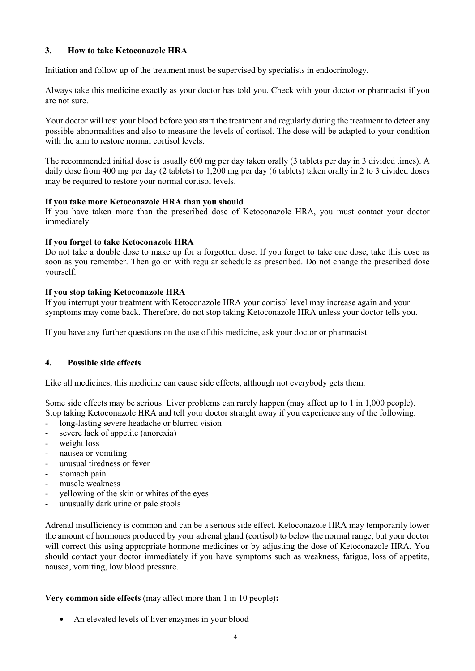# **3. How to take Ketoconazole HRA**

Initiation and follow up of the treatment must be supervised by specialists in endocrinology.

Always take this medicine exactly as your doctor has told you. Check with your doctor or pharmacist if you are not sure.

Your doctor will test your blood before you start the treatment and regularly during the treatment to detect any possible abnormalities and also to measure the levels of cortisol. The dose will be adapted to your condition with the aim to restore normal cortisol levels.

The recommended initial dose is usually 600 mg per day taken orally (3 tablets per day in 3 divided times). A daily dose from 400 mg per day (2 tablets) to 1,200 mg per day (6 tablets) taken orally in 2 to 3 divided doses may be required to restore your normal cortisol levels.

# **If you take more Ketoconazole HRA than you should**

If you have taken more than the prescribed dose of Ketoconazole HRA, you must contact your doctor immediately.

# **If you forget to take Ketoconazole HRA**

Do not take a double dose to make up for a forgotten dose. If you forget to take one dose, take this dose as soon as you remember. Then go on with regular schedule as prescribed. Do not change the prescribed dose yourself.

# **If you stop taking Ketoconazole HRA**

If you interrupt your treatment with Ketoconazole HRA your cortisol level may increase again and your symptoms may come back. Therefore, do not stop taking Ketoconazole HRA unless your doctor tells you.

If you have any further questions on the use of this medicine, ask your doctor or pharmacist.

### **4. Possible side effects**

Like all medicines, this medicine can cause side effects, although not everybody gets them.

Some side effects may be serious. Liver problems can rarely happen (may affect up to 1 in 1,000 people). Stop taking Ketoconazole HRA and tell your doctor straight away if you experience any of the following:

- long-lasting severe headache or blurred vision
- severe lack of appetite (anorexia)
- weight loss
- nausea or vomiting
- unusual tiredness or fever
- stomach pain
- muscle weakness
- yellowing of the skin or whites of the eyes
- unusually dark urine or pale stools

Adrenal insufficiency is common and can be a serious side effect. Ketoconazole HRA may temporarily lower the amount of hormones produced by your adrenal gland (cortisol) to below the normal range, but your doctor will correct this using appropriate hormone medicines or by adjusting the dose of Ketoconazole HRA. You should contact your doctor immediately if you have symptoms such as weakness, fatigue, loss of appetite, nausea, vomiting, low blood pressure.

# **Very common side effects** (may affect more than 1 in 10 people)**:**

• An elevated levels of liver enzymes in your blood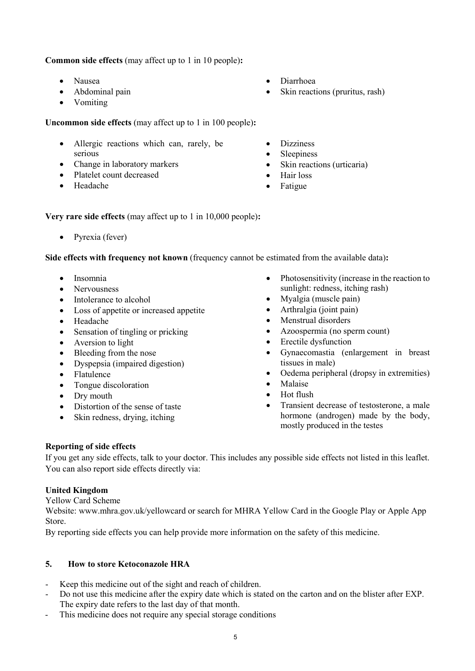**Common side effects** (may affect up to 1 in 10 people)**:**

- Nausea
- Abdominal pain
- Vomiting

**Uncommon side effects** (may affect up to 1 in 100 people)**:**

- Allergic reactions which can, rarely, be serious
- Change in laboratory markers
- Platelet count decreased
- Headache
- Diarrhoea
- Skin reactions (pruritus, rash)
- **Dizziness**
- **Sleepiness**
- Skin reactions (urticaria)
- Hair loss
- Fatigue

**Very rare side effects** (may affect up to 1 in 10,000 people)**:**

• Pyrexia (fever)

**Side effects with frequency not known** (frequency cannot be estimated from the available data)**:**

- Insomnia
- Nervousness
- Intolerance to alcohol
- Loss of appetite or increased appetite
- Headache
- Sensation of tingling or pricking
- Aversion to light
- Bleeding from the nose
- Dyspepsia (impaired digestion)
- Flatulence
- Tongue discoloration
- Dry mouth
- Distortion of the sense of taste
- Skin redness, drying, itching
- Photosensitivity (increase in the reaction to sunlight: redness, itching rash)
- Myalgia (muscle pain)
- Arthralgia (joint pain)
- Menstrual disorders
- Azoospermia (no sperm count)
- **Erectile dysfunction**
- Gynaecomastia (enlargement in breast tissues in male)
- Oedema peripheral (dropsy in extremities)
- Malaise
- Hot flush
- Transient decrease of testosterone, a male hormone (androgen) made by the body, mostly produced in the testes

### **Reporting of side effects**

If you get any side effects, talk to your doctor. This includes any possible side effects not listed in this leaflet. You can also report side effects directly via:

# **United Kingdom**

Yellow Card Scheme

Website: www.mhra.gov.uk/yellowcard or search for MHRA Yellow Card in the Google Play or Apple App Store.

By reporting side effects you can help provide more information on the safety of this medicine.

# **5. How to store Ketoconazole HRA**

- Keep this medicine out of the sight and reach of children.
- Do not use this medicine after the expiry date which is stated on the carton and on the blister after EXP. The expiry date refers to the last day of that month.
- This medicine does not require any special storage conditions